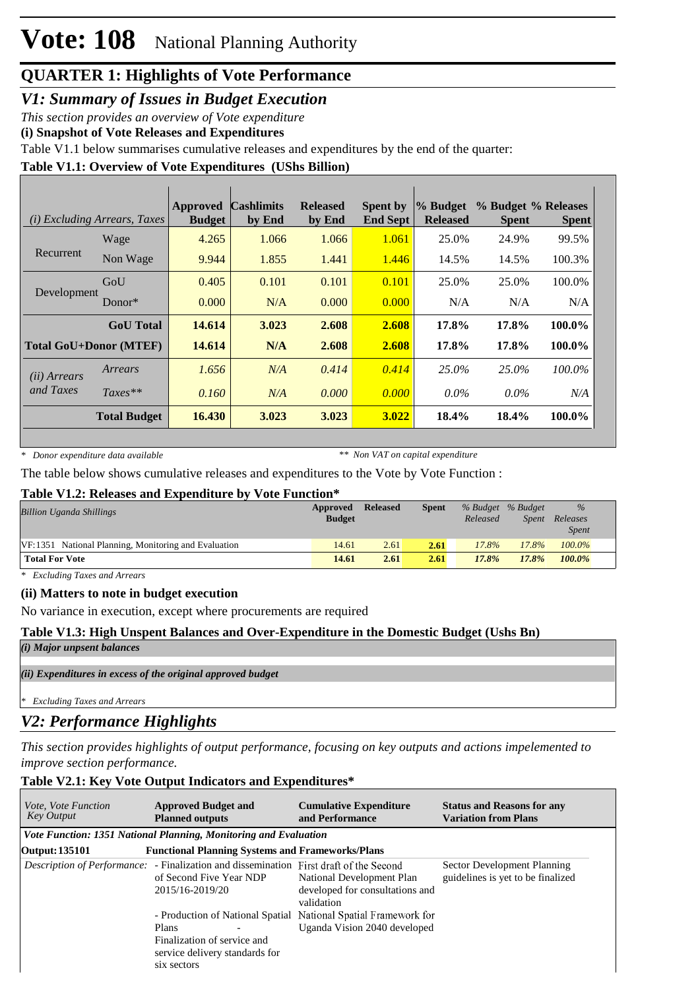# **QUARTER 1: Highlights of Vote Performance**

*V1: Summary of Issues in Budget Execution*

*This section provides an overview of Vote expenditure* 

**(i) Snapshot of Vote Releases and Expenditures**

Table V1.1 below summarises cumulative releases and expenditures by the end of the quarter:

### **Table V1.1: Overview of Vote Expenditures (UShs Billion)**

|                       | ( <i>i</i> ) Excluding Arrears, Taxes | <b>Approved</b><br><b>Budget</b> | <b>Cashlimits</b><br>by End | <b>Released</b><br>by End | <b>Spent by</b><br><b>End Sept</b> | % Budget<br><b>Released</b> | % Budget % Releases<br><b>Spent</b> | <b>Spent</b> |
|-----------------------|---------------------------------------|----------------------------------|-----------------------------|---------------------------|------------------------------------|-----------------------------|-------------------------------------|--------------|
|                       | Wage                                  | 4.265                            | 1.066                       | 1.066                     | 1.061                              | 25.0%                       | 24.9%                               | 99.5%        |
| Recurrent             | Non Wage                              | 9.944                            | 1.855                       | 1.441                     | 1.446                              | 14.5%                       | 14.5%                               | 100.3%       |
|                       | GoU                                   | 0.405                            | 0.101                       | 0.101                     | 0.101                              | 25.0%                       | 25.0%                               | 100.0%       |
| Development           | Donor $*$                             | 0.000                            | N/A                         | 0.000                     | 0.000                              | N/A                         | N/A                                 | N/A          |
|                       | <b>GoU</b> Total                      | 14.614                           | 3.023                       | 2.608                     | 2.608                              | 17.8%                       | 17.8%                               | 100.0%       |
|                       | <b>Total GoU+Donor (MTEF)</b>         | 14.614                           | N/A                         | 2.608                     | 2.608                              | 17.8%                       | 17.8%                               | 100.0%       |
| ( <i>ii</i> ) Arrears | Arrears                               | 1.656                            | N/A                         | 0.414                     | 0.414                              | 25.0%                       | 25.0%                               | $100.0\%$    |
| and Taxes             | $Taxes**$                             | 0.160                            | N/A                         | 0.000                     | 0.000                              | $0.0\%$                     | $0.0\%$                             | N/A          |
|                       | <b>Total Budget</b>                   | 16.430                           | 3.023                       | 3.023                     | 3.022                              | 18.4%                       | 18.4%                               | 100.0%       |

*\* Donor expenditure data available*

*\*\* Non VAT on capital expenditure*

The table below shows cumulative releases and expenditures to the Vote by Vote Function :

#### **Table V1.2: Releases and Expenditure by Vote Function\***

| <b>Billion Uganda Shillings</b>                      | Approved<br><b>Budget</b> | <b>Released</b> | <b>Spent</b> | % Budget % Budget<br>Released | Spent | $\%$<br>Releases<br><i>Spent</i> |
|------------------------------------------------------|---------------------------|-----------------|--------------|-------------------------------|-------|----------------------------------|
| VF:1351 National Planning, Monitoring and Evaluation | 14.61                     | 2.61            | 2.61         | 17.8%                         | 17.8% | 100.0%                           |
| <b>Total For Vote</b>                                | 14.61                     | 2.61            | 2.61         | 17.8%                         | 17.8% | $100.0\%$                        |

*\* Excluding Taxes and Arrears*

#### **(ii) Matters to note in budget execution**

No variance in execution, except where procurements are required

#### **Table V1.3: High Unspent Balances and Over-Expenditure in the Domestic Budget (Ushs Bn)**

*(i) Major unpsent balances*

*(ii) Expenditures in excess of the original approved budget*

*\* Excluding Taxes and Arrears*

## *V2: Performance Highlights*

*This section provides highlights of output performance, focusing on key outputs and actions impelemented to improve section performance.*

#### **Table V2.1: Key Vote Output Indicators and Expenditures\***

| <i>Vote, Vote Function</i><br><b>Key Output</b> | <b>Approved Budget and</b><br><b>Planned outputs</b>                                                                                        | <b>Cumulative Expenditure</b><br>and Performance                                                | <b>Status and Reasons for any</b><br><b>Variation from Plans</b> |
|-------------------------------------------------|---------------------------------------------------------------------------------------------------------------------------------------------|-------------------------------------------------------------------------------------------------|------------------------------------------------------------------|
|                                                 | Vote Function: 1351 National Planning, Monitoring and Evaluation                                                                            |                                                                                                 |                                                                  |
| <b>Output: 135101</b>                           | <b>Functional Planning Systems and Frameworks/Plans</b>                                                                                     |                                                                                                 |                                                                  |
|                                                 | <i>Description of Performance:</i> - Finalization and dissemination First draft of the Second<br>of Second Five Year NDP<br>2015/16-2019/20 | National Development Plan<br>developed for consultations and<br>validation                      | Sector Development Planning<br>guidelines is yet to be finalized |
|                                                 | Plans<br>Finalization of service and<br>service delivery standards for<br>six sectors                                                       | - Production of National Spatial National Spatial Framework for<br>Uganda Vision 2040 developed |                                                                  |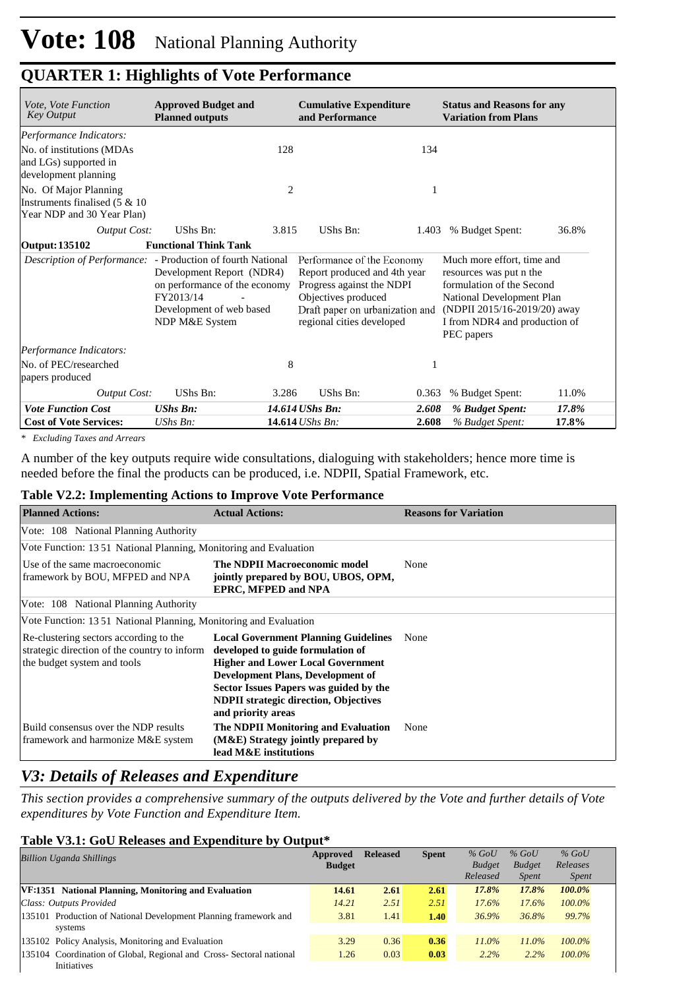## **QUARTER 1: Highlights of Vote Performance**

| Vote, Vote Function<br>Key Output                                                        | <b>Approved Budget and</b><br><b>Planned outputs</b>                                                                                                                                        |                | <b>Cumulative Expenditure</b><br>and Performance                                                                                                                               |       | <b>Status and Reasons for any</b><br><b>Variation from Plans</b>                                                                                                                               |       |  |
|------------------------------------------------------------------------------------------|---------------------------------------------------------------------------------------------------------------------------------------------------------------------------------------------|----------------|--------------------------------------------------------------------------------------------------------------------------------------------------------------------------------|-------|------------------------------------------------------------------------------------------------------------------------------------------------------------------------------------------------|-------|--|
| Performance Indicators:                                                                  |                                                                                                                                                                                             |                |                                                                                                                                                                                |       |                                                                                                                                                                                                |       |  |
| No. of institutions (MDAs<br>and LGs) supported in<br>development planning               |                                                                                                                                                                                             | 128            |                                                                                                                                                                                | 134   |                                                                                                                                                                                                |       |  |
| No. Of Major Planning<br>Instruments finalised $(5 \& 10)$<br>Year NDP and 30 Year Plan) |                                                                                                                                                                                             | $\overline{2}$ |                                                                                                                                                                                | 1     |                                                                                                                                                                                                |       |  |
| <b>Output Cost:</b>                                                                      | UShs Bn:                                                                                                                                                                                    | 3.815          | UShs Bn:                                                                                                                                                                       | 1.403 | % Budget Spent:                                                                                                                                                                                | 36.8% |  |
| Output: 135102                                                                           | <b>Functional Think Tank</b>                                                                                                                                                                |                |                                                                                                                                                                                |       |                                                                                                                                                                                                |       |  |
|                                                                                          | <i>Description of Performance:</i> - Production of fourth National<br>Development Report (NDR4)<br>on performance of the economy<br>FY2013/14<br>Development of web based<br>NDP M&E System |                | Performance of the Economy<br>Report produced and 4th year<br>Progress against the NDPI<br>Objectives produced<br>Draft paper on urbanization and<br>regional cities developed |       | Much more effort, time and<br>resources was put n the<br>formulation of the Second<br>National Development Plan<br>(NDPII 2015/16-2019/20) away<br>I from NDR4 and production of<br>PEC papers |       |  |
| Performance Indicators:                                                                  |                                                                                                                                                                                             |                |                                                                                                                                                                                |       |                                                                                                                                                                                                |       |  |
| No. of PEC/researched<br>papers produced                                                 |                                                                                                                                                                                             | 8              |                                                                                                                                                                                |       |                                                                                                                                                                                                |       |  |
| <b>Output Cost:</b>                                                                      | UShs Bn:                                                                                                                                                                                    | 3.286          | UShs Bn:                                                                                                                                                                       | 0.363 | % Budget Spent:                                                                                                                                                                                | 11.0% |  |
| <b>Vote Function Cost</b>                                                                | <b>UShs Bn:</b>                                                                                                                                                                             |                | 14.614 UShs Bn:                                                                                                                                                                | 2.608 | % Budget Spent:                                                                                                                                                                                | 17.8% |  |
| <b>Cost of Vote Services:</b>                                                            | $UShs Bn$ :                                                                                                                                                                                 |                | 14.614 UShs Bn:                                                                                                                                                                | 2.608 | % Budget Spent:                                                                                                                                                                                | 17.8% |  |

*\* Excluding Taxes and Arrears*

A number of the key outputs require wide consultations, dialoguing with stakeholders; hence more time is needed before the final the products can be produced, i.e. NDPII, Spatial Framework, etc.

#### **Table V2.2: Implementing Actions to Improve Vote Performance**

| <b>Planned Actions:</b>                                                                                               | <b>Actual Actions:</b>                                                                                                                                                                                                                                                                   | <b>Reasons for Variation</b> |
|-----------------------------------------------------------------------------------------------------------------------|------------------------------------------------------------------------------------------------------------------------------------------------------------------------------------------------------------------------------------------------------------------------------------------|------------------------------|
| Vote: 108 National Planning Authority                                                                                 |                                                                                                                                                                                                                                                                                          |                              |
| Vote Function: 13.51 National Planning, Monitoring and Evaluation                                                     |                                                                                                                                                                                                                                                                                          |                              |
| Use of the same macroeconomic<br>framework by BOU, MFPED and NPA                                                      | <b>The NDPII Macroeconomic model</b><br>jointly prepared by BOU, UBOS, OPM,<br><b>EPRC, MFPED and NPA</b>                                                                                                                                                                                | None                         |
| Vote: 108 National Planning Authority                                                                                 |                                                                                                                                                                                                                                                                                          |                              |
| Vote Function: 1351 National Planning, Monitoring and Evaluation                                                      |                                                                                                                                                                                                                                                                                          |                              |
| Re-clustering sectors according to the<br>strategic direction of the country to inform<br>the budget system and tools | <b>Local Government Planning Guidelines</b><br>developed to guide formulation of<br><b>Higher and Lower Local Government</b><br><b>Development Plans, Development of</b><br>Sector Issues Papers was guided by the<br><b>NDPII</b> strategic direction, Objectives<br>and priority areas | None                         |
| Build consensus over the NDP results<br>framework and harmonize M&E system                                            | The NDPII Monitoring and Evaluation<br>$(M&E)$ Strategy jointly prepared by<br>lead M&E institutions                                                                                                                                                                                     | None                         |

## *V3: Details of Releases and Expenditure*

*This section provides a comprehensive summary of the outputs delivered by the Vote and further details of Vote expenditures by Vote Function and Expenditure Item.*

#### **Table V3.1: GoU Releases and Expenditure by Output\***

| <b>Billion Uganda Shillings</b>                                                           | Approved<br><b>Budget</b> | <b>Released</b> | <b>Spent</b> | $%$ GoU<br><b>Budget</b> | $%$ GoU<br><b>Budget</b> | $%$ GoU<br>Releases |
|-------------------------------------------------------------------------------------------|---------------------------|-----------------|--------------|--------------------------|--------------------------|---------------------|
|                                                                                           |                           |                 |              | Released                 | <i>Spent</i>             | <i>Spent</i>        |
| VF:1351 National Planning, Monitoring and Evaluation                                      | 14.61                     | 2.61            | 2.61         | 17.8%                    | 17.8%                    | 100.0%              |
| Class: Outputs Provided                                                                   | 14.21                     | 2.51            | 2.51         | $17.6\%$                 | 17.6%                    | 100.0%              |
| 135101 Production of National Development Planning framework and<br>systems               | 3.81                      | 1.41            | 1.40         | 36.9%                    | 36.8%                    | 99.7%               |
| 135102 Policy Analysis, Monitoring and Evaluation                                         | 3.29                      | 0.36            | 0.36         | $11.0\%$                 | $11.0\%$                 | $100.0\%$           |
| 135104 Coordination of Global, Regional and Cross-Sectoral national<br><b>Initiatives</b> | 1.26                      | 0.03            | 0.03         | $2.2\%$                  | 2.2%                     | $100.0\%$           |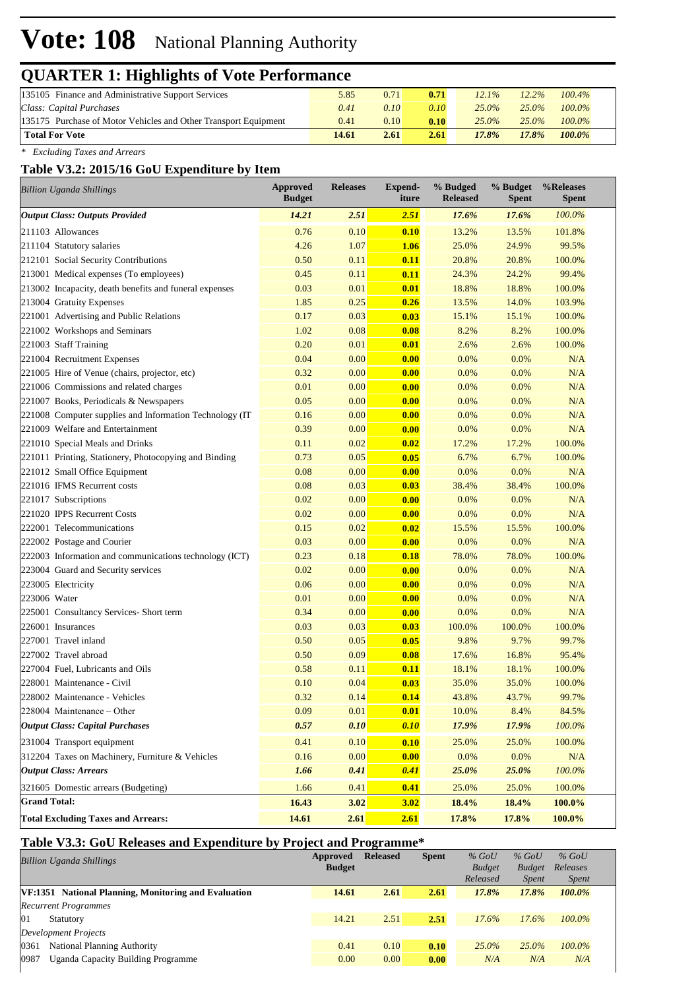# **Vote: 108** National Planning Authority

## **QUARTER 1: Highlights of Vote Performance**

| 135105 Finance and Administrative Support Services              | 5.85  | 0.71 | 0.71 | $12.1\%$ | $12.2\%$ | $100.4\%$ |  |
|-----------------------------------------------------------------|-------|------|------|----------|----------|-----------|--|
| Class: Capital Purchases                                        | 0.41  | 0.10 | 0.10 | $25.0\%$ | $25.0\%$ | $100.0\%$ |  |
| 135175 Purchase of Motor Vehicles and Other Transport Equipment | 0.41  | 0.10 | 0.10 | $25.0\%$ | $25.0\%$ | $100.0\%$ |  |
| <b>Total For Vote</b>                                           | 14.61 | 2.61 | 2.61 | 17.8%    | $17.8\%$ | $100.0\%$ |  |

*\* Excluding Taxes and Arrears*

#### **Table V3.2: 2015/16 GoU Expenditure by Item**

| <b>Billion Uganda Shillings</b>                          | <b>Approved</b><br><b>Budget</b> | <b>Releases</b> | Expend-<br>iture | % Budged<br><b>Released</b> | % Budget<br><b>Spent</b> | %Releases<br><b>Spent</b> |
|----------------------------------------------------------|----------------------------------|-----------------|------------------|-----------------------------|--------------------------|---------------------------|
| <b>Output Class: Outputs Provided</b>                    | 14.21                            | 2.51            | 2.51             | 17.6%                       | 17.6%                    | 100.0%                    |
| 211103 Allowances                                        | 0.76                             | 0.10            | 0.10             | 13.2%                       | 13.5%                    | 101.8%                    |
| 211104 Statutory salaries                                | 4.26                             | 1.07            | 1.06             | 25.0%                       | 24.9%                    | 99.5%                     |
| 212101 Social Security Contributions                     | 0.50                             | 0.11            | 0.11             | 20.8%                       | 20.8%                    | 100.0%                    |
| 213001 Medical expenses (To employees)                   | 0.45                             | 0.11            | 0.11             | 24.3%                       | 24.2%                    | 99.4%                     |
| 213002 Incapacity, death benefits and funeral expenses   | 0.03                             | 0.01            | 0.01             | 18.8%                       | 18.8%                    | 100.0%                    |
| 213004 Gratuity Expenses                                 | 1.85                             | 0.25            | 0.26             | 13.5%                       | 14.0%                    | 103.9%                    |
| 221001 Advertising and Public Relations                  | 0.17                             | 0.03            | 0.03             | 15.1%                       | 15.1%                    | 100.0%                    |
| 221002 Workshops and Seminars                            | 1.02                             | 0.08            | 0.08             | 8.2%                        | 8.2%                     | 100.0%                    |
| 221003 Staff Training                                    | 0.20                             | 0.01            | 0.01             | 2.6%                        | 2.6%                     | 100.0%                    |
| 221004 Recruitment Expenses                              | 0.04                             | 0.00            | 0.00             | 0.0%                        | 0.0%                     | N/A                       |
| 221005 Hire of Venue (chairs, projector, etc)            | 0.32                             | 0.00            | 0.00             | 0.0%                        | 0.0%                     | N/A                       |
| 221006 Commissions and related charges                   | 0.01                             | 0.00            | 0.00             | 0.0%                        | 0.0%                     | N/A                       |
| 221007 Books, Periodicals & Newspapers                   | 0.05                             | 0.00            | 0.00             | 0.0%                        | 0.0%                     | N/A                       |
| 221008 Computer supplies and Information Technology (IT) | 0.16                             | 0.00            | 0.00             | 0.0%                        | 0.0%                     | N/A                       |
| 221009 Welfare and Entertainment                         | 0.39                             | 0.00            | 0.00             | 0.0%                        | 0.0%                     | N/A                       |
| 221010 Special Meals and Drinks                          | 0.11                             | 0.02            | 0.02             | 17.2%                       | 17.2%                    | 100.0%                    |
| 221011 Printing, Stationery, Photocopying and Binding    | 0.73                             | 0.05            | 0.05             | 6.7%                        | 6.7%                     | 100.0%                    |
| 221012 Small Office Equipment                            | 0.08                             | 0.00            | 0.00             | 0.0%                        | 0.0%                     | N/A                       |
| 221016 IFMS Recurrent costs                              | 0.08                             | 0.03            | 0.03             | 38.4%                       | 38.4%                    | 100.0%                    |
| 221017 Subscriptions                                     | 0.02                             | 0.00            | 0.00             | 0.0%                        | 0.0%                     | N/A                       |
| 221020 IPPS Recurrent Costs                              | 0.02                             | 0.00            | 0.00             | 0.0%                        | 0.0%                     | N/A                       |
| 222001 Telecommunications                                | 0.15                             | 0.02            | 0.02             | 15.5%                       | 15.5%                    | 100.0%                    |
| 222002 Postage and Courier                               | 0.03                             | 0.00            | 0.00             | 0.0%                        | 0.0%                     | N/A                       |
| 222003 Information and communications technology (ICT)   | 0.23                             | 0.18            | 0.18             | 78.0%                       | 78.0%                    | 100.0%                    |
| 223004 Guard and Security services                       | 0.02                             | 0.00            | 0.00             | 0.0%                        | 0.0%                     | N/A                       |
| 223005 Electricity                                       | 0.06                             | 0.00            | 0.00             | 0.0%                        | 0.0%                     | N/A                       |
| 223006 Water                                             | 0.01                             | 0.00            | 0.00             | 0.0%                        | 0.0%                     | N/A                       |
| 225001 Consultancy Services- Short term                  | 0.34                             | 0.00            | 0.00             | 0.0%                        | 0.0%                     | N/A                       |
| 226001 Insurances                                        | 0.03                             | 0.03            | 0.03             | 100.0%                      | 100.0%                   | 100.0%                    |
| 227001 Travel inland                                     | 0.50                             | 0.05            | 0.05             | 9.8%                        | 9.7%                     | 99.7%                     |
| 227002 Travel abroad                                     | 0.50                             | 0.09            | 0.08             | 17.6%                       | 16.8%                    | 95.4%                     |
| 227004 Fuel, Lubricants and Oils                         | 0.58                             | 0.11            | 0.11             | 18.1%                       | 18.1%                    | 100.0%                    |
| 228001 Maintenance - Civil                               | 0.10                             | 0.04            | 0.03             | 35.0%                       | 35.0%                    | 100.0%                    |
| 228002 Maintenance - Vehicles                            | 0.32                             | 0.14            | 0.14             | 43.8%                       | 43.7%                    | 99.7%                     |
| 228004 Maintenance - Other                               | 0.09                             | 0.01            | 0.01             | 10.0%                       | 8.4%                     | 84.5%                     |
| <b>Output Class: Capital Purchases</b>                   | 0.57                             | 0.10            | 0.10             | 17.9%                       | 17.9%                    | 100.0%                    |
| 231004 Transport equipment                               | 0.41                             | 0.10            | 0.10             | 25.0%                       | 25.0%                    | 100.0%                    |
| 312204 Taxes on Machinery, Furniture & Vehicles          | 0.16                             | 0.00            | 0.00             | 0.0%                        | 0.0%                     | N/A                       |
| <b>Output Class: Arrears</b>                             | 1.66                             | 0.41            | 0.41             | 25.0%                       | 25.0%                    | $100.0\%$                 |
| 321605 Domestic arrears (Budgeting)                      | 1.66                             | 0.41            | 0.41             | 25.0%                       | 25.0%                    | 100.0%                    |
| <b>Grand Total:</b>                                      | 16.43                            | 3.02            | 3.02             | 18.4%                       | 18.4%                    | 100.0%                    |
| <b>Total Excluding Taxes and Arrears:</b>                | 14.61                            | 2.61            | 2.61             | 17.8%                       | 17.8%                    | 100.0%                    |

### **Table V3.3: GoU Releases and Expenditure by Project and Programme\***

| <b>Billion Uganda Shillings</b>                      | Approved<br><b>Budget</b> | <b>Released</b> | <b>Spent</b> | $%$ GoU<br><b>Budget</b><br>Released | $%$ GoU<br><b>Budget</b><br><i>Spent</i> | $%$ GoU<br>Releases<br><i>Spent</i> |
|------------------------------------------------------|---------------------------|-----------------|--------------|--------------------------------------|------------------------------------------|-------------------------------------|
| VF:1351 National Planning, Monitoring and Evaluation | 14.61                     | 2.61            | 2.61         | 17.8%                                | 17.8%                                    | 100.0%                              |
| <b>Recurrent Programmes</b>                          |                           |                 |              |                                      |                                          |                                     |
| 01<br>Statutory                                      | 14.21                     | 2.51            | 2.51         | 17.6%                                | 17.6%                                    | $100.0\%$                           |
| Development Projects                                 |                           |                 |              |                                      |                                          |                                     |
| 0361<br>National Planning Authority                  | 0.41                      | 0.10            | 0.10         | $25.0\%$                             | $25.0\%$                                 | $100.0\%$                           |
| 0987<br>Uganda Capacity Building Programme           | 0.00                      | 0.00            | 0.00         | N/A                                  | N/A                                      | N/A                                 |